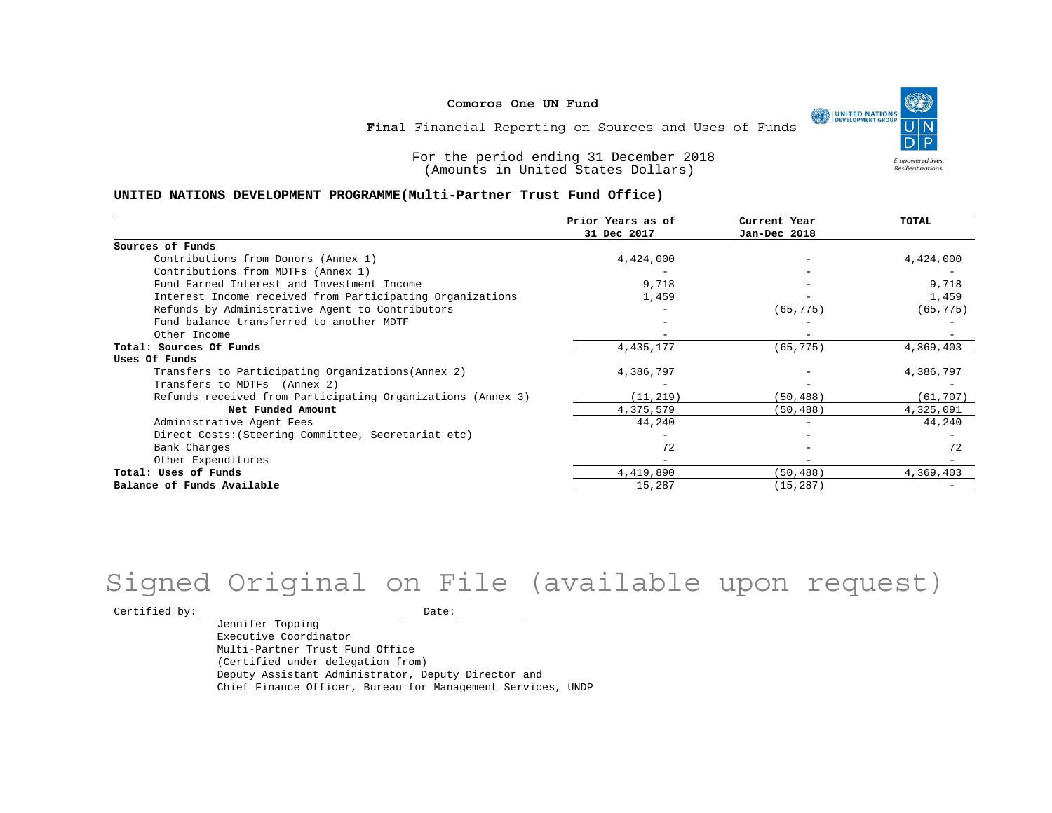٩ UNITED NATIONS **Empowered lives** Resilient nations.

**Final** Financial Reporting on Sources and Uses of Funds

For the period ending 31 December 2018 (Amounts in United States Dollars)

#### **UNITED NATIONS DEVELOPMENT PROGRAMME(Multi-Partner Trust Fund Office)**

|                                                             | Prior Years as of<br>31 Dec 2017 | Current Year<br>Jan-Dec 2018 | <b>TOTAL</b> |
|-------------------------------------------------------------|----------------------------------|------------------------------|--------------|
| Sources of Funds                                            |                                  |                              |              |
| Contributions from Donors (Annex 1)                         | 4,424,000                        |                              | 4,424,000    |
| Contributions from MDTFs (Annex 1)                          |                                  |                              |              |
| Fund Earned Interest and Investment Income                  | 9,718                            |                              | 9,718        |
| Interest Income received from Participating Organizations   | 1,459                            | $-$                          | 1,459        |
| Refunds by Administrative Agent to Contributors             |                                  | (65, 775)                    | (65, 775)    |
| Fund balance transferred to another MDTF                    |                                  |                              |              |
| Other Income                                                |                                  |                              |              |
| Total: Sources Of Funds                                     | 4, 435, 177                      | (65, 775)                    | 4,369,403    |
| Uses Of Funds                                               |                                  |                              |              |
| Transfers to Participating Organizations (Annex 2)          | 4,386,797                        |                              | 4,386,797    |
| Transfers to MDTFs (Annex 2)                                |                                  |                              |              |
| Refunds received from Participating Organizations (Annex 3) | (11, 219)                        | (50, 488)                    | (61, 707)    |
| Net Funded Amount                                           | 4,375,579                        | (50, 488)                    | 4,325,091    |
| Administrative Agent Fees                                   | 44,240                           | $\overline{\phantom{0}}$     | 44,240       |
| Direct Costs: (Steering Committee, Secretariat etc)         |                                  |                              |              |
| Bank Charges                                                | 72                               |                              | 72           |
| Other Expenditures                                          |                                  |                              |              |
| Total: Uses of Funds                                        | 4,419,890                        | (50, 488)                    | 4,369,403    |
| Balance of Funds Available                                  | 15,287                           | (15, 287)                    |              |

# Signed Original on File (available upon request)

 $\begin{tabular}{cc} \multicolumn{2}{c}{{\texttt{Certified by:}}}} \quad \quad \texttt{Date:} \end{tabular}$ 

Jennifer Topping Executive Coordinator Multi-Partner Trust Fund Office (Certified under delegation from) Deputy Assistant Administrator, Deputy Director and Chief Finance Officer, Bureau for Management Services, UNDP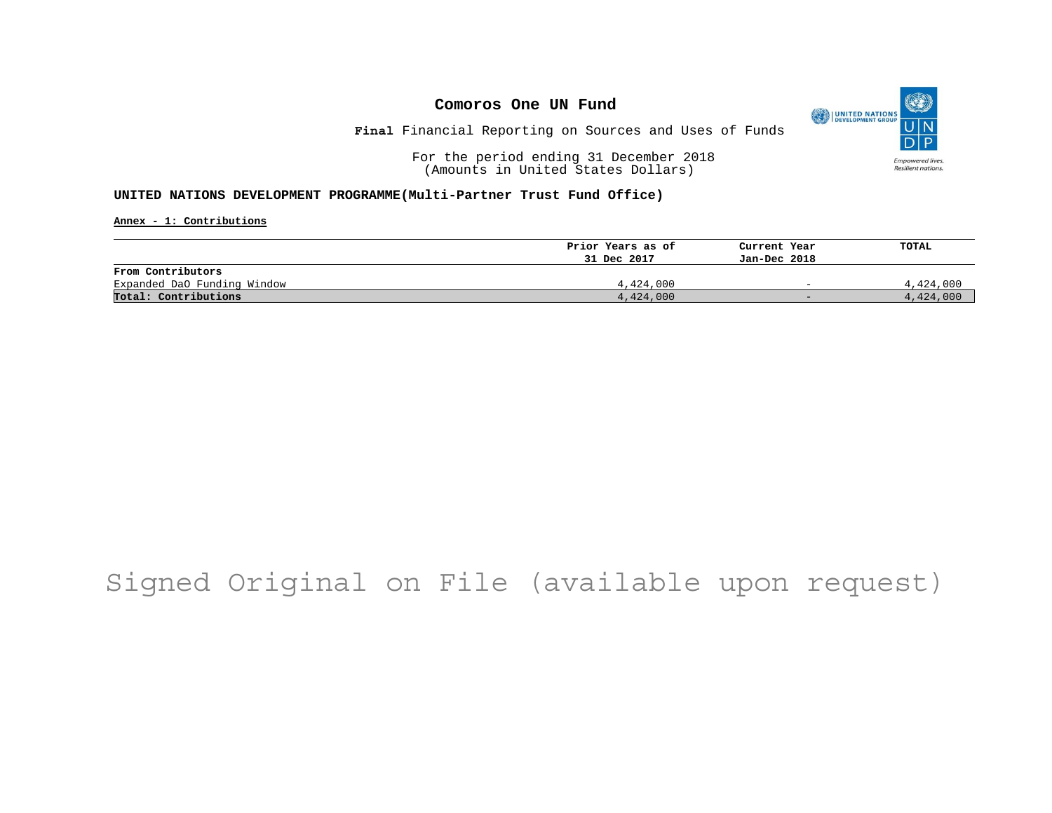

**Final** Financial Reporting on Sources and Uses of Funds

For the period ending 31 December 2018 (Amounts in United States Dollars)

### **UNITED NATIONS DEVELOPMENT PROGRAMME(Multi-Partner Trust Fund Office)**

**Annex - 1: Contributions**

|                             | Prior Years as of | Current Year             | TOTAL     |
|-----------------------------|-------------------|--------------------------|-----------|
|                             | 31 Dec 2017       | Jan-Dec 2018             |           |
| From Contributors           |                   |                          |           |
| Expanded DaO Funding Window | 4,424,000         | $\overline{\phantom{0}}$ | 4,424,000 |
| Total: Contributions        | 4,424,000         | $-$                      | 4,424,000 |

# Signed Original on File (available upon request)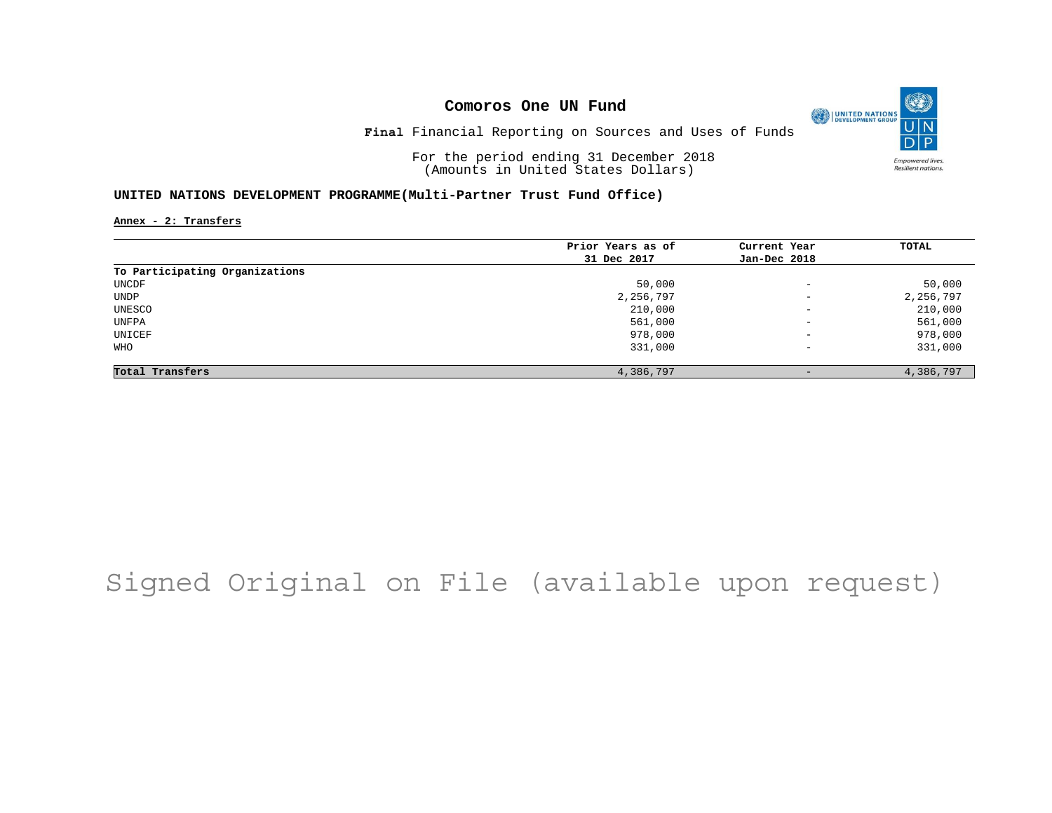O UNITED NATIONS **Empowered lives** Resilient nations.

**Final** Financial Reporting on Sources and Uses of Funds

For the period ending 31 December 2018 (Amounts in United States Dollars)

### **UNITED NATIONS DEVELOPMENT PROGRAMME(Multi-Partner Trust Fund Office)**

**Annex - 2: Transfers**

|                                | Prior Years as of | Current Year             | TOTAL     |
|--------------------------------|-------------------|--------------------------|-----------|
|                                | 31 Dec 2017       | Jan-Dec 2018             |           |
| To Participating Organizations |                   |                          |           |
| UNCDF                          | 50,000            | $\overline{\phantom{a}}$ | 50,000    |
| UNDP                           | 2,256,797         | $\qquad \qquad -$        | 2,256,797 |
| UNESCO                         | 210,000           | $\overline{\phantom{a}}$ | 210,000   |
| UNFPA                          | 561,000           | $\overline{\phantom{m}}$ | 561,000   |
| UNICEF                         | 978,000           | $\overline{\phantom{a}}$ | 978,000   |
| WHO                            | 331,000           | $\overline{\phantom{a}}$ | 331,000   |
| Total Transfers                | 4,386,797         | $\qquad \qquad -$        | 4,386,797 |

# Signed Original on File (available upon request)